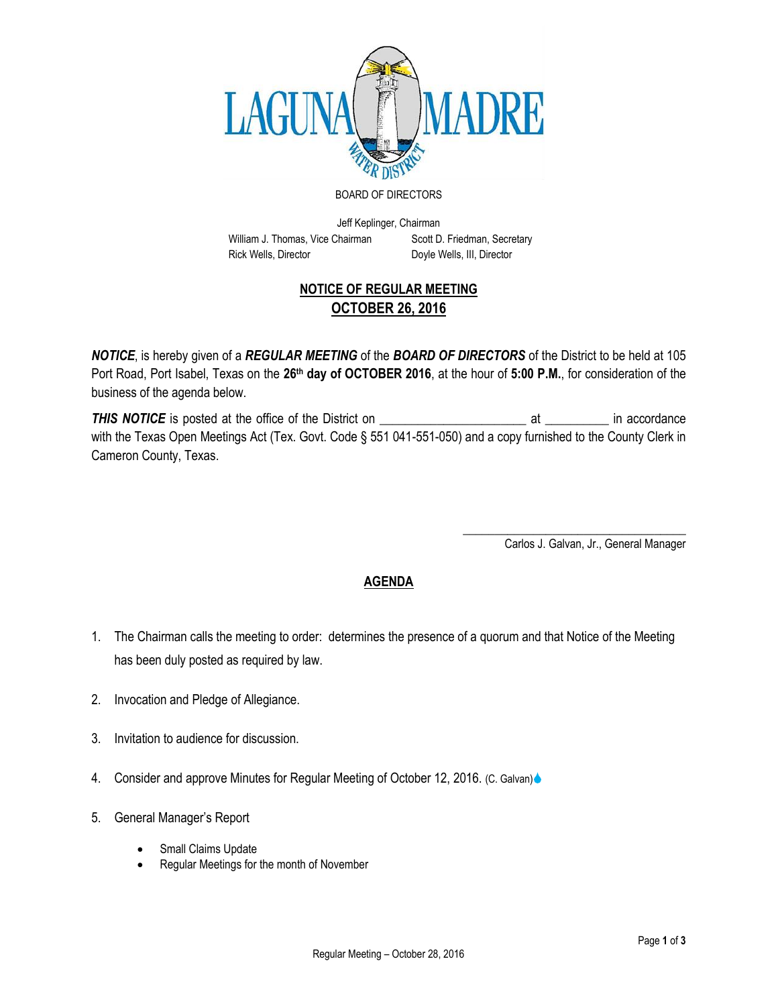

## BOARD OF DIRECTORS

Jeff Keplinger, Chairman William J. Thomas, Vice Chairman Scott D. Friedman, Secretary Rick Wells, Director **Doyle Wells, III, Director** 

## **NOTICE OF REGULAR MEETING OCTOBER 26, 2016**

*NOTICE*, is hereby given of a *REGULAR MEETING* of the *BOARD OF DIRECTORS* of the District to be held at 105 Port Road, Port Isabel, Texas on the **26th day of OCTOBER 2016**, at the hour of **5:00 P.M.**, for consideration of the business of the agenda below.

*THIS NOTICE* is posted at the office of the District on \_\_\_\_\_\_\_\_\_\_\_\_\_\_\_\_\_\_\_\_\_\_\_ at \_\_\_\_\_\_\_\_\_\_ in accordance with the Texas Open Meetings Act (Tex. Govt. Code § 551 041-551-050) and a copy furnished to the County Clerk in Cameron County, Texas.

> \_\_\_\_\_\_\_\_\_\_\_\_\_\_\_\_\_\_\_\_\_\_\_\_\_\_\_\_\_\_\_\_\_\_\_ Carlos J. Galvan, Jr., General Manager

## **AGENDA**

- 1. The Chairman calls the meeting to order: determines the presence of a quorum and that Notice of the Meeting has been duly posted as required by law.
- 2. Invocation and Pledge of Allegiance.
- 3. Invitation to audience for discussion.
- 4. Consider and approve Minutes for Regular Meeting of October 12, 2016. (C. Galvan)
- 5. General Manager's Report
	- Small Claims Update
	- Regular Meetings for the month of November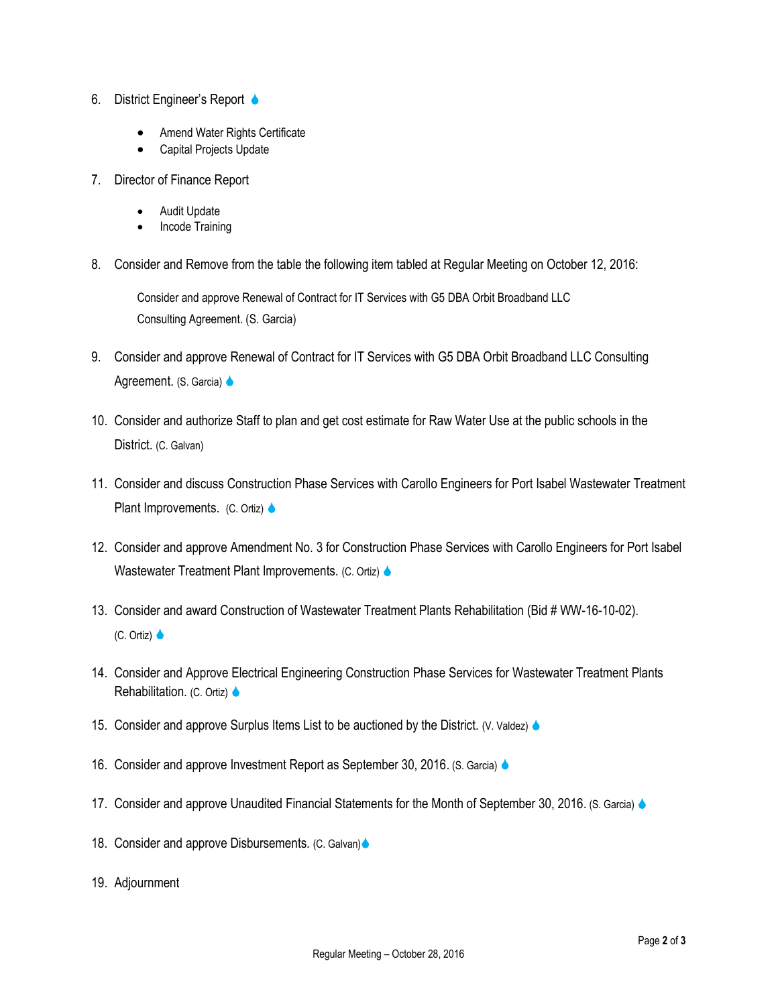- 6. District Engineer's Report
	- Amend Water Rights Certificate
	- Capital Projects Update
- 7. Director of Finance Report
	- Audit Update
	- Incode Training
- 8. Consider and Remove from the table the following item tabled at Regular Meeting on October 12, 2016:

Consider and approve Renewal of Contract for IT Services with G5 DBA Orbit Broadband LLC Consulting Agreement. (S. Garcia)

- 9. Consider and approve Renewal of Contract for IT Services with G5 DBA Orbit Broadband LLC Consulting Agreement. (S. Garcia)  $\triangle$
- 10. Consider and authorize Staff to plan and get cost estimate for Raw Water Use at the public schools in the District. (C. Galvan)
- 11. Consider and discuss Construction Phase Services with Carollo Engineers for Port Isabel Wastewater Treatment Plant Improvements. (C. Ortiz)  $\triangle$
- 12. Consider and approve Amendment No. 3 for Construction Phase Services with Carollo Engineers for Port Isabel Wastewater Treatment Plant Improvements. (C. Ortiz)
- 13. Consider and award Construction of Wastewater Treatment Plants Rehabilitation (Bid # WW-16-10-02).  $(C.$  Ortiz)  $\bullet$
- 14. Consider and Approve Electrical Engineering Construction Phase Services for Wastewater Treatment Plants Rehabilitation. (C. Ortiz)  $\triangle$
- 15. Consider and approve Surplus Items List to be auctioned by the District. (V. Valdez)  $\triangle$
- 16. Consider and approve Investment Report as September 30, 2016. (S. Garcia)
- 17. Consider and approve Unaudited Financial Statements for the Month of September 30, 2016. (S. Garcia)
- 18. Consider and approve Disbursements. (C. Galvan)
- 19. Adjournment